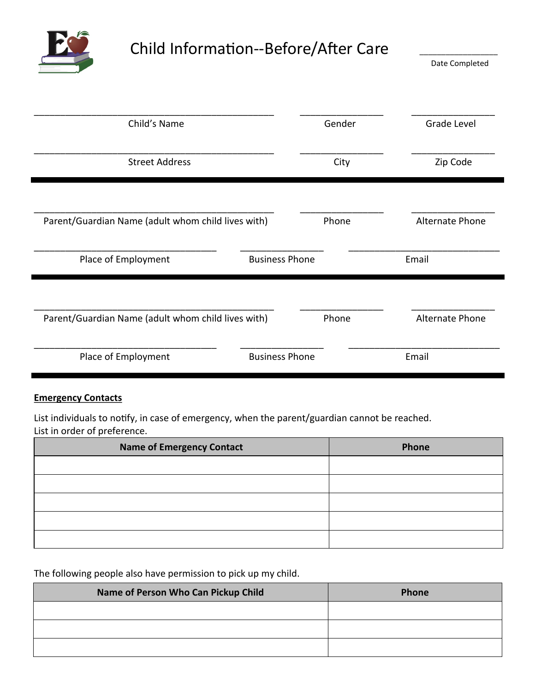

## Child Information--Before/After Care

\_\_\_\_\_\_\_\_\_\_\_\_\_\_\_\_\_\_ Date Completed

| Child's Name                                       |                       | Gender | Grade Level            |
|----------------------------------------------------|-----------------------|--------|------------------------|
| <b>Street Address</b>                              |                       | City   | Zip Code               |
| Parent/Guardian Name (adult whom child lives with) |                       | Phone  | <b>Alternate Phone</b> |
| Place of Employment                                | <b>Business Phone</b> |        | Email                  |
| Parent/Guardian Name (adult whom child lives with) |                       | Phone  | <b>Alternate Phone</b> |
| Place of Employment                                | <b>Business Phone</b> |        | Email                  |

## **Emergency Contacts**

List individuals to notify, in case of emergency, when the parent/guardian cannot be reached. List in order of preference.

| Name of Emergency Contact | Phone |
|---------------------------|-------|
|                           |       |
|                           |       |
|                           |       |
|                           |       |
|                           |       |

The following people also have permission to pick up my child.

| Name of Person Who Can Pickup Child | Phone |
|-------------------------------------|-------|
|                                     |       |
|                                     |       |
|                                     |       |